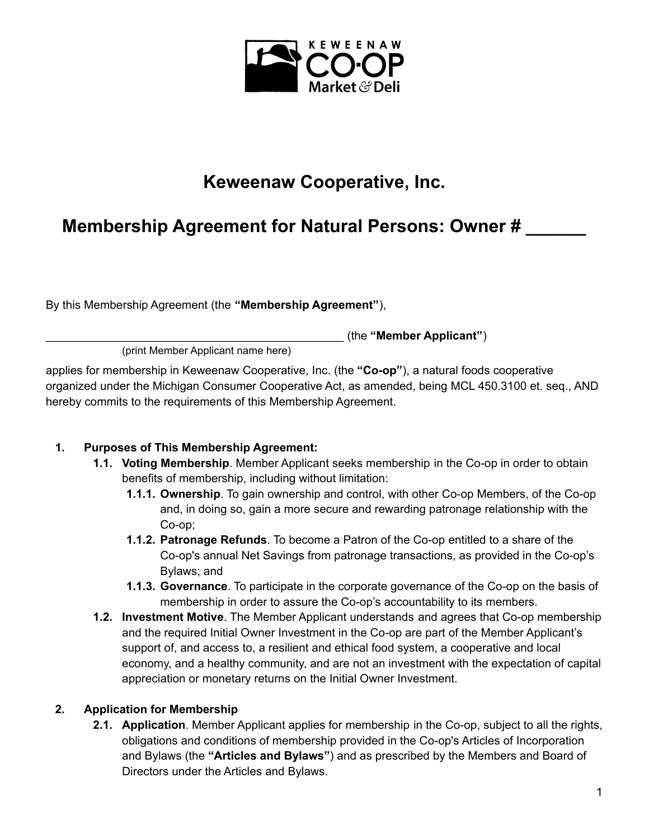

# **Keweenaw Cooperative, Inc.**

# **Membership Agreement for Natural Persons: Owner # \_\_\_\_\_\_**

By this Membership Agreement (the **"Membership Agreement"**),

\_\_\_\_\_\_\_\_\_\_\_\_\_\_\_\_\_\_\_\_\_\_\_\_\_\_\_\_\_\_\_\_\_\_\_\_\_\_\_\_\_\_\_\_\_\_ (the **"Member Applicant"**)

(print Member Applicant name here)

applies for membership in Keweenaw Cooperative, Inc. (the **"Co-op"**), a natural foods cooperative organized under the Michigan Consumer Cooperative Act, as amended, being MCL 450.3100 et. seq., AND hereby commits to the requirements of this Membership Agreement.

## **1. Purposes of This Membership Agreement:**

- **1.1. Voting Membership**. Member Applicant seeks membership in the Co-op in order to obtain benefits of membership, including without limitation:
	- **1.1.1. Ownership**. To gain ownership and control, with other Co-op Members, of the Co-op and, in doing so, gain a more secure and rewarding patronage relationship with the Co-op;
	- **1.1.2. Patronage Refunds**. To become a Patron of the Co-op entitled to a share of the Co-op's annual Net Savings from patronage transactions, as provided in the Co-op's Bylaws; and
	- **1.1.3. Governance**. To participate in the corporate governance of the Co-op on the basis of membership in order to assure the Co-op's accountability to its members.
- **1.2. Investment Motive**. The Member Applicant understands and agrees that Co-op membership and the required Initial Owner Investment in the Co-op are part of the Member Applicant's support of, and access to, a resilient and ethical food system, a cooperative and local economy, and a healthy community, and are not an investment with the expectation of capital appreciation or monetary returns on the Initial Owner Investment.

## **2. Application for Membership**

**2.1. Application**. Member Applicant applies for membership in the Co-op, subject to all the rights, obligations and conditions of membership provided in the Co-op's Articles of Incorporation and Bylaws (the **"Articles and Bylaws"**) and as prescribed by the Members and Board of Directors under the Articles and Bylaws.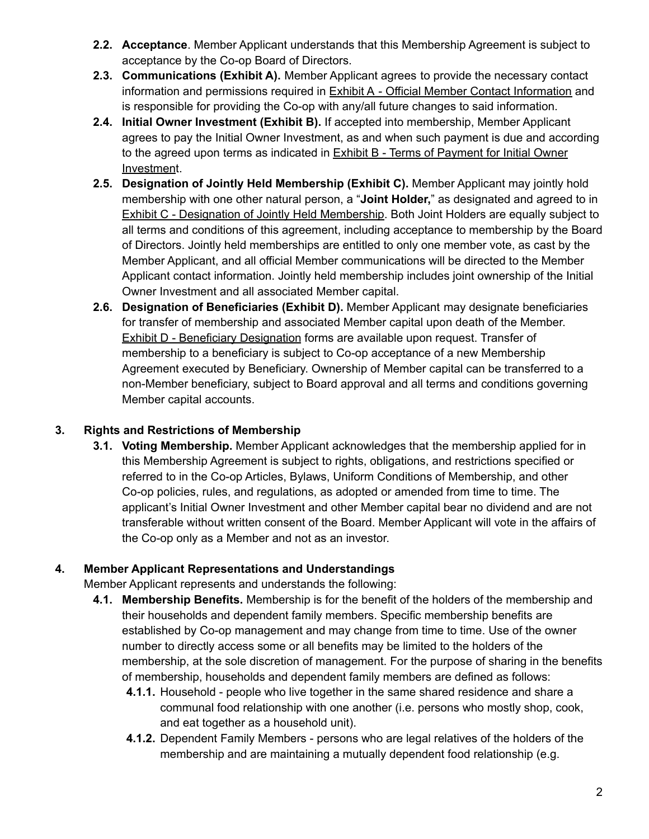- **2.2. Acceptance**. Member Applicant understands that this Membership Agreement is subject to acceptance by the Co-op Board of Directors.
- **2.3. Communications (Exhibit A).** Member Applicant agrees to provide the necessary contact information and permissions required in Exhibit A - Official Member Contact Information and is responsible for providing the Co-op with any/all future changes to said information.
- **2.4. Initial Owner Investment (Exhibit B).** If accepted into membership, Member Applicant agrees to pay the Initial Owner Investment, as and when such payment is due and according to the agreed upon terms as indicated in Exhibit B - Terms of Payment for Initial Owner Investment.
- **2.5. Designation of Jointly Held Membership (Exhibit C).** Member Applicant may jointly hold membership with one other natural person, a "**Joint Holder,**" as designated and agreed to in Exhibit C - Designation of Jointly Held Membership. Both Joint Holders are equally subject to all terms and conditions of this agreement, including acceptance to membership by the Board of Directors. Jointly held memberships are entitled to only one member vote, as cast by the Member Applicant, and all official Member communications will be directed to the Member Applicant contact information. Jointly held membership includes joint ownership of the Initial Owner Investment and all associated Member capital.
- **2.6. Designation of Beneficiaries (Exhibit D).** Member Applicant may designate beneficiaries for transfer of membership and associated Member capital upon death of the Member. Exhibit D - Beneficiary Designation forms are available upon request. Transfer of membership to a beneficiary is subject to Co-op acceptance of a new Membership Agreement executed by Beneficiary. Ownership of Member capital can be transferred to a non-Member beneficiary, subject to Board approval and all terms and conditions governing Member capital accounts.

## **3. Rights and Restrictions of Membership**

**3.1. Voting Membership.** Member Applicant acknowledges that the membership applied for in this Membership Agreement is subject to rights, obligations, and restrictions specified or referred to in the Co-op Articles, Bylaws, Uniform Conditions of Membership, and other Co-op policies, rules, and regulations, as adopted or amended from time to time. The applicant's Initial Owner Investment and other Member capital bear no dividend and are not transferable without written consent of the Board. Member Applicant will vote in the affairs of the Co-op only as a Member and not as an investor.

## **4. Member Applicant Representations and Understandings**

Member Applicant represents and understands the following:

- **4.1. Membership Benefits.** Membership is for the benefit of the holders of the membership and their households and dependent family members. Specific membership benefits are established by Co-op management and may change from time to time. Use of the owner number to directly access some or all benefits may be limited to the holders of the membership, at the sole discretion of management. For the purpose of sharing in the benefits of membership, households and dependent family members are defined as follows:
	- **4.1.1.** Household people who live together in the same shared residence and share a communal food relationship with one another (i.e. persons who mostly shop, cook, and eat together as a household unit).
	- **4.1.2.** Dependent Family Members persons who are legal relatives of the holders of the membership and are maintaining a mutually dependent food relationship (e.g.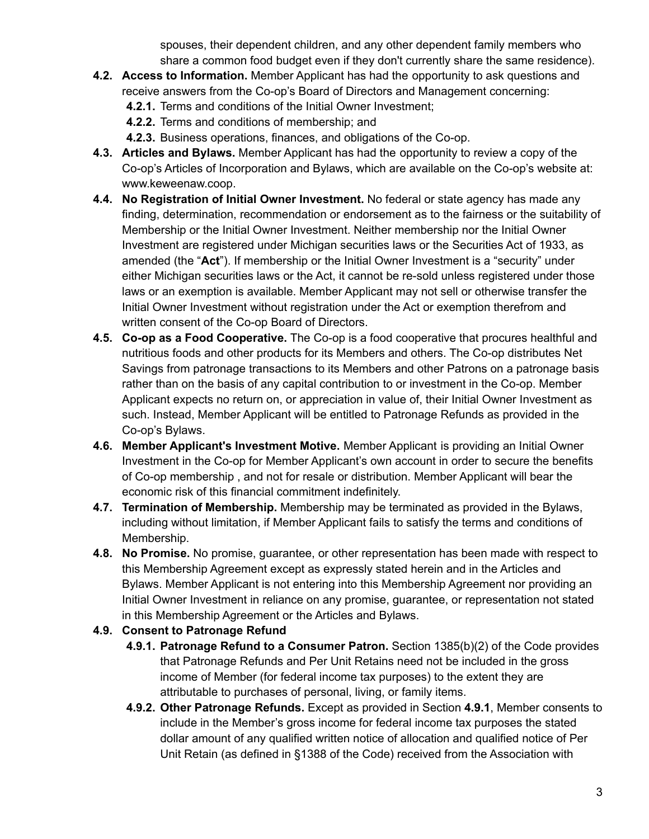spouses, their dependent children, and any other dependent family members who share a common food budget even if they don't currently share the same residence).

- **4.2. Access to Information.** Member Applicant has had the opportunity to ask questions and receive answers from the Co-op's Board of Directors and Management concerning:
	- **4.2.1.** Terms and conditions of the Initial Owner Investment;
	- **4.2.2.** Terms and conditions of membership; and
	- **4.2.3.** Business operations, finances, and obligations of the Co-op.
- **4.3. Articles and Bylaws.** Member Applicant has had the opportunity to review a copy of the Co-op's Articles of Incorporation and Bylaws, which are available on the Co-op's website at: www.keweenaw.coop.
- **4.4. No Registration of Initial Owner Investment.** No federal or state agency has made any finding, determination, recommendation or endorsement as to the fairness or the suitability of Membership or the Initial Owner Investment. Neither membership nor the Initial Owner Investment are registered under Michigan securities laws or the Securities Act of 1933, as amended (the "**Act**"). If membership or the Initial Owner Investment is a "security" under either Michigan securities laws or the Act, it cannot be re-sold unless registered under those laws or an exemption is available. Member Applicant may not sell or otherwise transfer the Initial Owner Investment without registration under the Act or exemption therefrom and written consent of the Co-op Board of Directors.
- **4.5. Co-op as a Food Cooperative.** The Co-op is a food cooperative that procures healthful and nutritious foods and other products for its Members and others. The Co-op distributes Net Savings from patronage transactions to its Members and other Patrons on a patronage basis rather than on the basis of any capital contribution to or investment in the Co-op. Member Applicant expects no return on, or appreciation in value of, their Initial Owner Investment as such. Instead, Member Applicant will be entitled to Patronage Refunds as provided in the Co-op's Bylaws.
- **4.6. Member Applicant's Investment Motive.** Member Applicant is providing an Initial Owner Investment in the Co-op for Member Applicant's own account in order to secure the benefits of Co-op membership , and not for resale or distribution. Member Applicant will bear the economic risk of this financial commitment indefinitely.
- **4.7. Termination of Membership.** Membership may be terminated as provided in the Bylaws, including without limitation, if Member Applicant fails to satisfy the terms and conditions of Membership.
- **4.8. No Promise.** No promise, guarantee, or other representation has been made with respect to this Membership Agreement except as expressly stated herein and in the Articles and Bylaws. Member Applicant is not entering into this Membership Agreement nor providing an Initial Owner Investment in reliance on any promise, guarantee, or representation not stated in this Membership Agreement or the Articles and Bylaws.

## **4.9. Consent to Patronage Refund**

- **4.9.1. Patronage Refund to a Consumer Patron.** Section 1385(b)(2) of the Code provides that Patronage Refunds and Per Unit Retains need not be included in the gross income of Member (for federal income tax purposes) to the extent they are attributable to purchases of personal, living, or family items.
- **4.9.2. Other Patronage Refunds.** Except as provided in Section **4.9.1**, Member consents to include in the Member's gross income for federal income tax purposes the stated dollar amount of any qualified written notice of allocation and qualified notice of Per Unit Retain (as defined in §1388 of the Code) received from the Association with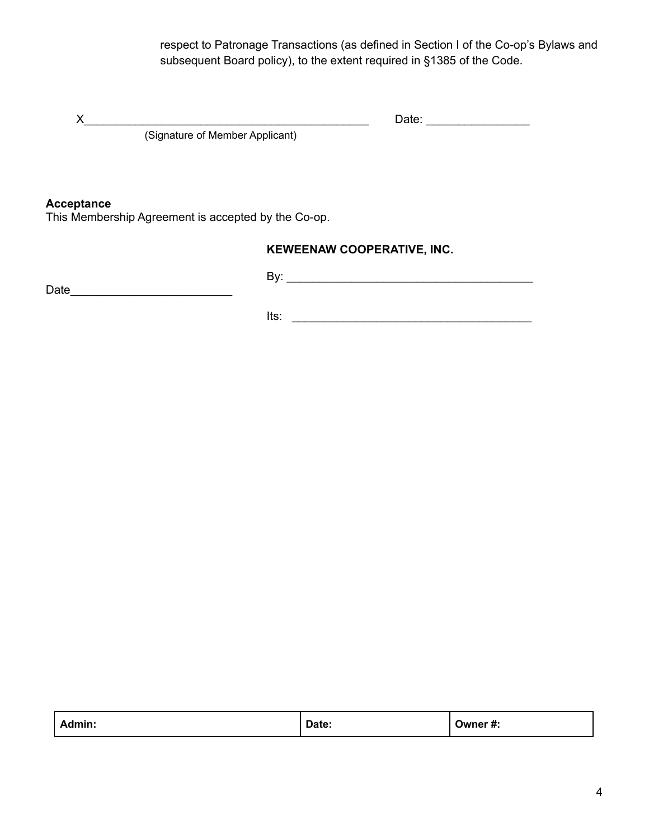respect to Patronage Transactions (as defined in Section I of the Co-op's Bylaws and subsequent Board policy), to the extent required in §1385 of the Code.

X\_\_\_\_\_\_\_\_\_\_\_\_\_\_\_\_\_\_\_\_\_\_\_\_\_\_\_\_\_\_\_\_\_\_\_\_\_\_\_\_\_\_\_\_ Date: \_\_\_\_\_\_\_\_\_\_\_\_\_\_\_\_

(Signature of Member Applicant)

### **Acceptance**

This Membership Agreement is accepted by the Co-op.

## **KEWEENAW COOPERATIVE, INC.**

Date\_\_\_\_\_\_\_\_\_\_\_\_\_\_\_\_\_\_\_\_\_\_\_\_\_

By: \_\_\_\_\_\_\_\_\_\_\_\_\_\_\_\_\_\_\_\_\_\_\_\_\_\_\_\_\_\_\_\_\_\_\_\_\_\_

Its:  $\frac{1}{2}$ 

| Admin: | Date:<br>. | :# Owner |
|--------|------------|----------|
|--------|------------|----------|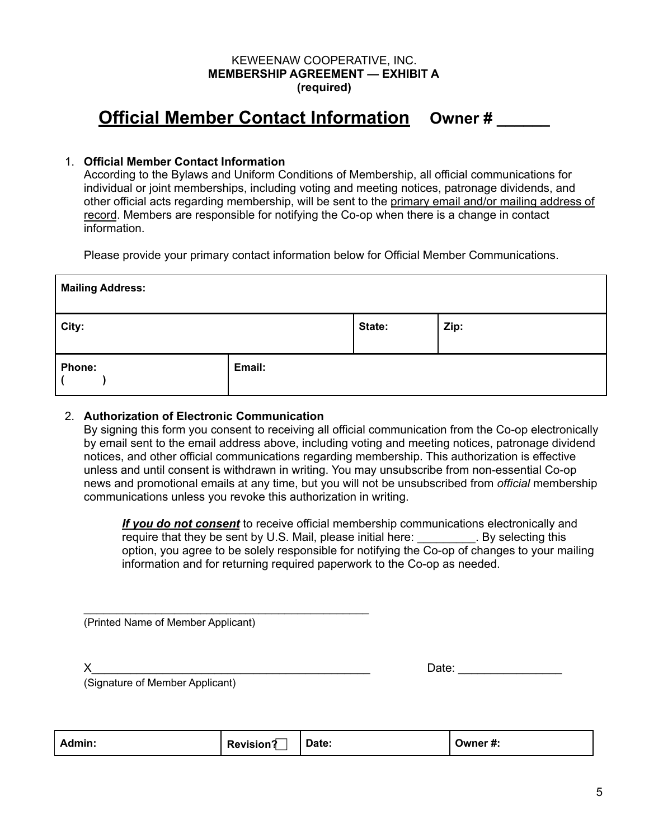#### KEWEENAW COOPERATIVE, INC. **MEMBERSHIP AGREEMENT — EXHIBIT A (required)**

# **Official Member Contact Information Owner # \_\_\_\_\_\_**

## 1. **Official Member Contact Information**

According to the Bylaws and Uniform Conditions of Membership, all official communications for individual or joint memberships, including voting and meeting notices, patronage dividends, and other official acts regarding membership, will be sent to the primary email and/or mailing address of record. Members are responsible for notifying the Co-op when there is a change in contact information.

Please provide your primary contact information below for Official Member Communications.

| <b>Mailing Address:</b> |        |        |      |
|-------------------------|--------|--------|------|
| City:                   |        | State: | Zip: |
| Phone:                  | Email: |        |      |

#### 2. **Authorization of Electronic Communication**

By signing this form you consent to receiving all official communication from the Co-op electronically by email sent to the email address above, including voting and meeting notices, patronage dividend notices, and other official communications regarding membership. This authorization is effective unless and until consent is withdrawn in writing. You may unsubscribe from non-essential Co-op news and promotional emails at any time, but you will not be unsubscribed from *official* membership communications unless you revoke this authorization in writing.

*If you do not consent* to receive official membership communications electronically and require that they be sent by U.S. Mail, please initial here: Example 1. By selecting this option, you agree to be solely responsible for notifying the Co-op of changes to your mailing information and for returning required paperwork to the Co-op as needed.

(Printed Name of Member Applicant)

\_\_\_\_\_\_\_\_\_\_\_\_\_\_\_\_\_\_\_\_\_\_\_\_\_\_\_\_\_\_\_\_\_\_\_\_\_\_\_\_\_\_\_\_

X\_\_\_\_\_\_\_\_\_\_\_\_\_\_\_\_\_\_\_\_\_\_\_\_\_\_\_\_\_\_\_\_\_\_\_\_\_\_\_\_\_\_\_ Date: \_\_\_\_\_\_\_\_\_\_\_\_\_\_\_\_

(Signature of Member Applicant)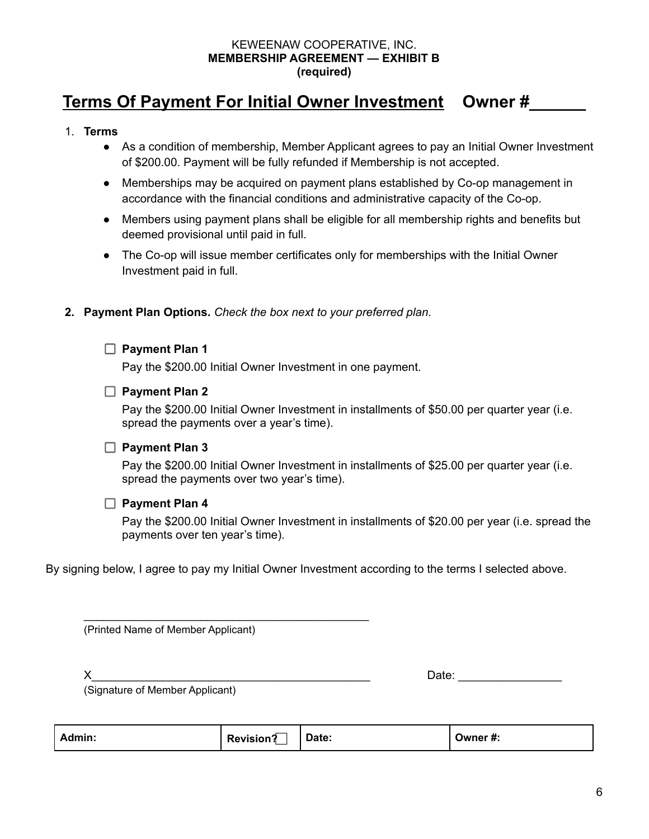#### KEWEENAW COOPERATIVE, INC. **MEMBERSHIP AGREEMENT — EXHIBIT B (required)**

## **Terms Of Payment For Initial Owner Investment Owner #\_\_\_\_\_\_**

#### 1. **Terms**

- As a condition of membership, Member Applicant agrees to pay an Initial Owner Investment of \$200.00. Payment will be fully refunded if Membership is not accepted.
- Memberships may be acquired on payment plans established by Co-op management in accordance with the financial conditions and administrative capacity of the Co-op.
- Members using payment plans shall be eligible for all membership rights and benefits but deemed provisional until paid in full.
- The Co-op will issue member certificates only for memberships with the Initial Owner Investment paid in full.

## **2. Payment Plan Options.** *Check the box next to your preferred plan.*

## **Payment Plan 1**

Pay the \$200.00 Initial Owner Investment in one payment.

## **Payment Plan 2**

Pay the \$200.00 Initial Owner Investment in installments of \$50.00 per quarter year (i.e. spread the payments over a year's time).

## **Payment Plan 3**

Pay the \$200.00 Initial Owner Investment in installments of \$25.00 per quarter year (i.e. spread the payments over two year's time).

#### **Payment Plan 4**

Pay the \$200.00 Initial Owner Investment in installments of \$20.00 per year (i.e. spread the payments over ten year's time).

By signing below, I agree to pay my Initial Owner Investment according to the terms I selected above.

(Printed Name of Member Applicant)

\_\_\_\_\_\_\_\_\_\_\_\_\_\_\_\_\_\_\_\_\_\_\_\_\_\_\_\_\_\_\_\_\_\_\_\_\_\_\_\_\_\_\_\_

| I<br>I |  |
|--------|--|

 $Date:$ 

(Signature of Member Applicant)

| Admin:<br><b>Revision?</b> | Date: | Owner#: |
|----------------------------|-------|---------|
|----------------------------|-------|---------|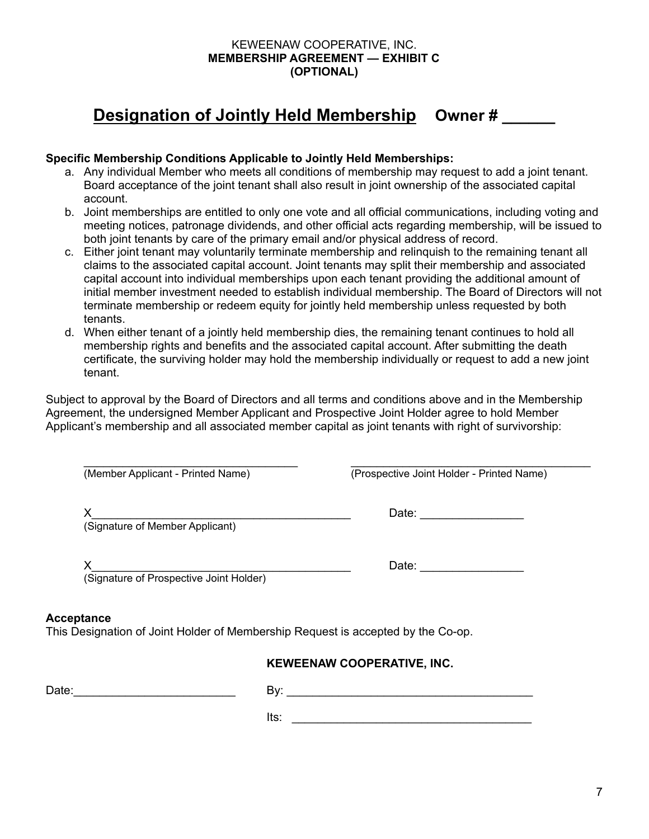#### KEWEENAW COOPERATIVE, INC. **MEMBERSHIP AGREEMENT — EXHIBIT C (OPTIONAL)**

# **Designation of Jointly Held Membership Owner # \_\_\_\_\_\_**

### **Specific Membership Conditions Applicable to Jointly Held Memberships:**

- a. Any individual Member who meets all conditions of membership may request to add a joint tenant. Board acceptance of the joint tenant shall also result in joint ownership of the associated capital account.
- b. Joint memberships are entitled to only one vote and all official communications, including voting and meeting notices, patronage dividends, and other official acts regarding membership, will be issued to both joint tenants by care of the primary email and/or physical address of record.
- c. Either joint tenant may voluntarily terminate membership and relinquish to the remaining tenant all claims to the associated capital account. Joint tenants may split their membership and associated capital account into individual memberships upon each tenant providing the additional amount of initial member investment needed to establish individual membership. The Board of Directors will not terminate membership or redeem equity for jointly held membership unless requested by both tenants.
- d. When either tenant of a jointly held membership dies, the remaining tenant continues to hold all membership rights and benefits and the associated capital account. After submitting the death certificate, the surviving holder may hold the membership individually or request to add a new joint tenant.

Subject to approval by the Board of Directors and all terms and conditions above and in the Membership Agreement, the undersigned Member Applicant and Prospective Joint Holder agree to hold Member Applicant's membership and all associated member capital as joint tenants with right of survivorship:

 $\_$ 

(Member Applicant - Printed Name) (Prospective Joint Holder - Printed Name)

X\_\_\_\_\_\_\_\_\_\_\_\_\_\_\_\_\_\_\_\_\_\_\_\_\_\_\_\_\_\_\_\_\_\_\_\_\_\_\_\_ Date: \_\_\_\_\_\_\_\_\_\_\_\_\_\_\_\_

(Signature of Member Applicant)

| v<br>Λ |    |   | Duw. |
|--------|----|---|------|
| $\sim$ | -- | . |      |

(Signature of Prospective Joint Holder)

#### **Acceptance**

This Designation of Joint Holder of Membership Request is accepted by the Co-op.

## **KEWEENAW COOPERATIVE, INC.**

Date:\_\_\_\_\_\_\_\_\_\_\_\_\_\_\_\_\_\_\_\_\_\_\_\_\_

By: \_\_\_\_\_\_\_\_\_\_\_\_\_\_\_\_\_\_\_\_\_\_\_\_\_\_\_\_\_\_\_\_\_\_\_\_\_\_

 $\blacksquare$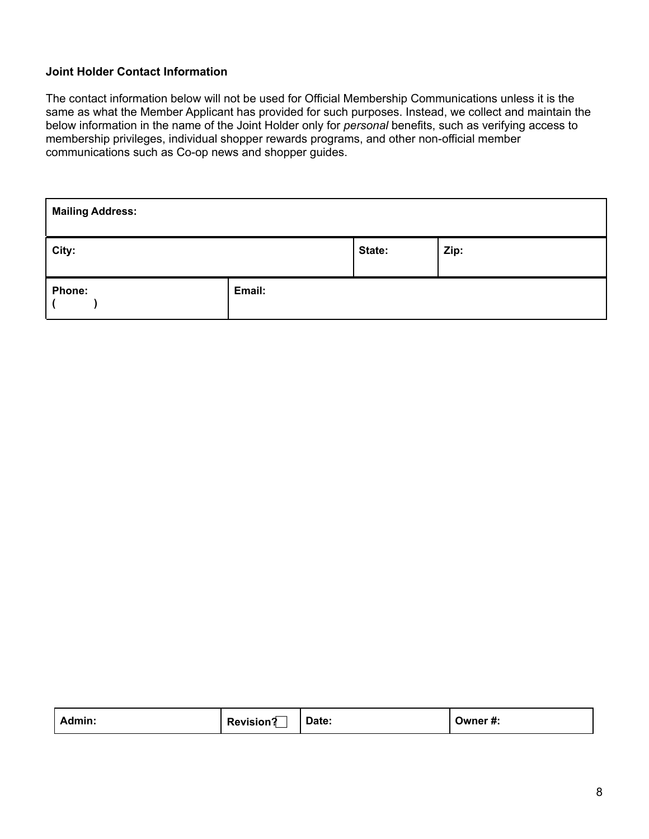## **Joint Holder Contact Information**

The contact information below will not be used for Official Membership Communications unless it is the same as what the Member Applicant has provided for such purposes. Instead, we collect and maintain the below information in the name of the Joint Holder only for *personal* benefits, such as verifying access to membership privileges, individual shopper rewards programs, and other non-official member communications such as Co-op news and shopper guides.

| <b>Mailing Address:</b> |        |        |      |
|-------------------------|--------|--------|------|
| City:                   |        | State: | Zip: |
| Phone:                  | Email: |        |      |

| Admin:<br><b>Revision?</b> | Date: | Owner #: |
|----------------------------|-------|----------|
|----------------------------|-------|----------|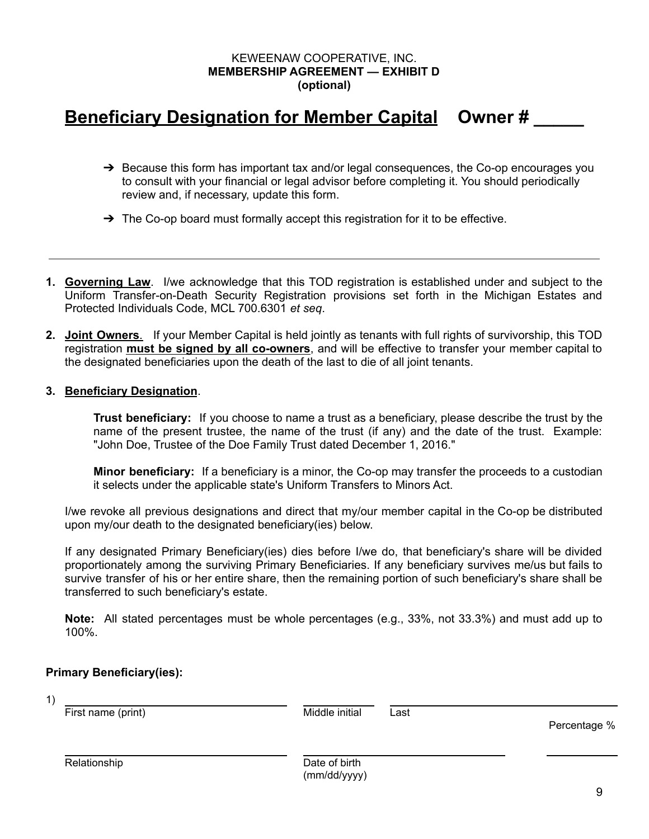### KEWEENAW COOPERATIVE, INC. **MEMBERSHIP AGREEMENT — EXHIBIT D (optional)**

# **Beneficiary Designation for Member Capital Owner # \_\_\_\_\_**

- $\rightarrow$  Because this form has important tax and/or legal consequences, the Co-op encourages you to consult with your financial or legal advisor before completing it. You should periodically review and, if necessary, update this form.
- $\rightarrow$  The Co-op board must formally accept this registration for it to be effective.
- **1. Governing Law**. I/we acknowledge that this TOD registration is established under and subject to the Uniform Transfer-on-Death Security Registration provisions set forth in the Michigan Estates and Protected Individuals Code, MCL 700.6301 *et seq*.
- **2. Joint Owners**. If your Member Capital is held jointly as tenants with full rights of survivorship, this TOD registration **must be signed by all co-owners**, and will be effective to transfer your member capital to the designated beneficiaries upon the death of the last to die of all joint tenants.

#### **3. Beneficiary Designation**.

**Trust beneficiary:** If you choose to name a trust as a beneficiary, please describe the trust by the name of the present trustee, the name of the trust (if any) and the date of the trust. Example: "John Doe, Trustee of the Doe Family Trust dated December 1, 2016."

**Minor beneficiary:** If a beneficiary is a minor, the Co-op may transfer the proceeds to a custodian it selects under the applicable state's Uniform Transfers to Minors Act.

I/we revoke all previous designations and direct that my/our member capital in the Co-op be distributed upon my/our death to the designated beneficiary(ies) below.

If any designated Primary Beneficiary(ies) dies before I/we do, that beneficiary's share will be divided proportionately among the surviving Primary Beneficiaries. If any beneficiary survives me/us but fails to survive transfer of his or her entire share, then the remaining portion of such beneficiary's share shall be transferred to such beneficiary's estate.

**Note:** All stated percentages must be whole percentages (e.g., 33%, not 33.3%) and must add up to 100%.

#### **Primary Beneficiary(ies):**

| 1) | First name (print) | Middle initial                | Last | Percentage % |
|----|--------------------|-------------------------------|------|--------------|
|    | Relationship       | Date of birth<br>(mm/dd/yyyy) |      |              |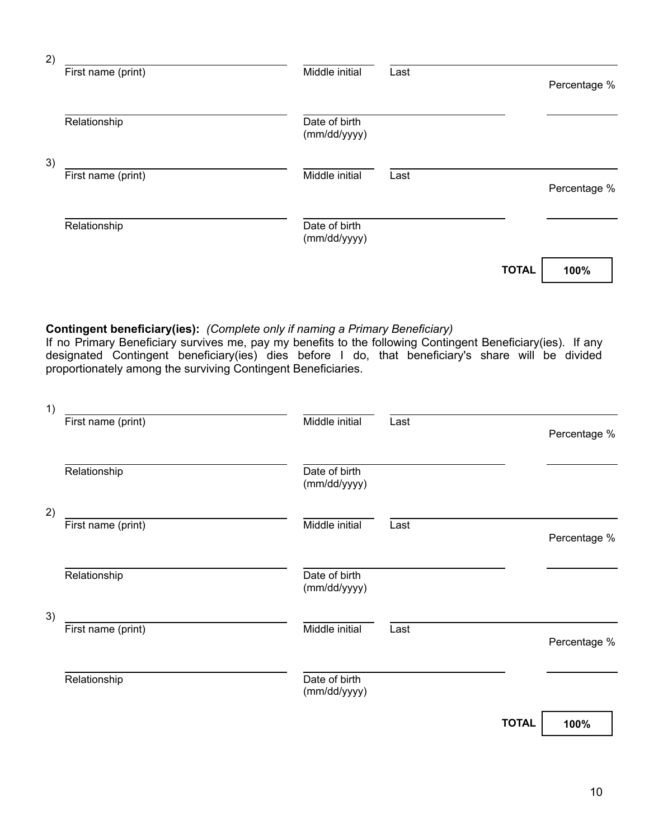| 2) |                    |                               |      |              |              |
|----|--------------------|-------------------------------|------|--------------|--------------|
|    | First name (print) | Middle initial                | Last |              | Percentage % |
|    | Relationship       | Date of birth<br>(mm/dd/yyyy) |      |              |              |
| 3) | First name (print) | Middle initial                | Last |              | Percentage % |
|    | Relationship       | Date of birth<br>(mm/dd/yyyy) |      |              |              |
|    |                    |                               |      | <b>TOTAL</b> | 100%         |

## **Contingent beneficiary(ies):** *(Complete only if naming a Primary Beneficiary)*

If no Primary Beneficiary survives me, pay my benefits to the following Contingent Beneficiary(ies). If any designated Contingent beneficiary(ies) dies before I do, that beneficiary's share will be divided proportionately among the surviving Contingent Beneficiaries.

| 1) |                    |                               |      |              |              |
|----|--------------------|-------------------------------|------|--------------|--------------|
|    | First name (print) | Middle initial                | Last |              | Percentage % |
|    | Relationship       | Date of birth<br>(mm/dd/yyyy) |      |              |              |
| 2) |                    |                               |      |              |              |
|    | First name (print) | Middle initial                | Last |              | Percentage % |
|    | Relationship       | Date of birth<br>(mm/dd/yyyy) |      |              |              |
| 3) |                    |                               |      |              |              |
|    | First name (print) | Middle initial                | Last |              | Percentage % |
|    | Relationship       | Date of birth<br>(mm/dd/yyyy) |      |              |              |
|    |                    |                               |      | <b>TOTAL</b> | 100%         |